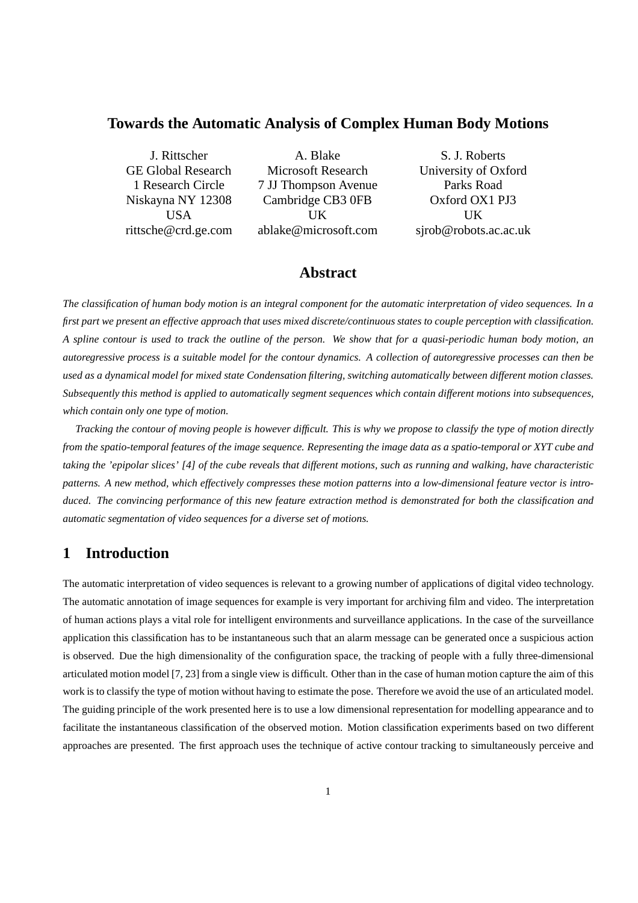### **Towards the Automatic Analysis of Complex Human Body Motions**

J. Rittscher A. Blake S. J. Roberts GE Global Research Microsoft Research University of Oxford 1 Research Circle 7 JJ Thompson Avenue Parks Road Niskayna NY 12308 Cambridge CB3 0FB Oxford OX1 PJ3 USA UK UK rittsche@crd.ge.com ablake@microsoft.com sjrob@robots.ac.ac.uk

# **Abstract**

*The classification of human body motion is an integral component for the automatic interpretation of video sequences. In a first part we present an effective approach that uses mixed discrete/continuous states to couple perception with classification. A spline contour is used to track the outline of the person. We show that for a quasi-periodic human body motion, an autoregressive process is a suitable model for the contour dynamics. A collection of autoregressive processes can then be used as a dynamical model for mixed state Condensation filtering, switching automatically between different motion classes. Subsequently this method is applied to automatically segment sequences which contain different motions into subsequences, which contain only one type of motion.*

*Tracking the contour of moving people is however difficult. This is why we propose to classify the type of motion directly from the spatio-temporal features of the image sequence. Representing the image data as a spatio-temporal or XYT cube and taking the 'epipolar slices' [4] of the cube reveals that different motions, such as running and walking, have characteristic patterns. A new method, which effectively compresses these motion patterns into a low-dimensional feature vector is introduced. The convincing performance of this new feature extraction method is demonstrated for both the classification and automatic segmentation of video sequences for a diverse set of motions.*

# **1 Introduction**

The automatic interpretation of video sequences is relevant to a growing number of applications of digital video technology. The automatic annotation of image sequences for example is very important for archiving film and video. The interpretation of human actions plays a vital role for intelligent environments and surveillance applications. In the case of the surveillance application this classification has to be instantaneous such that an alarm message can be generated once a suspicious action is observed. Due the high dimensionality of the configuration space, the tracking of people with a fully three-dimensional articulated motion model [7, 23] from a single view is difficult. Other than in the case of human motion capture the aim of this work is to classify the type of motion without having to estimate the pose. Therefore we avoid the use of an articulated model. The guiding principle of the work presented here is to use a low dimensional representation for modelling appearance and to facilitate the instantaneous classification of the observed motion. Motion classification experiments based on two different approaches are presented. The first approach uses the technique of active contour tracking to simultaneously perceive and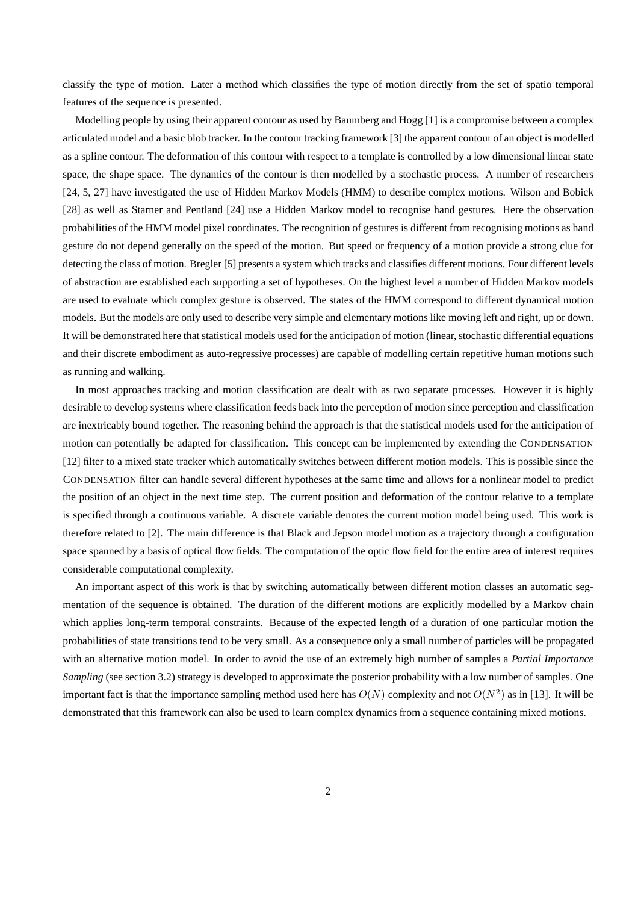classify the type of motion. Later a method which classifies the type of motion directly from the set of spatio temporal features of the sequence is presented.

Modelling people by using their apparent contour as used by Baumberg and Hogg [1] is a compromise between a complex articulated model and a basic blob tracker. In the contour tracking framework [3] the apparent contour of an object is modelled as a spline contour. The deformation of this contour with respect to a template is controlled by a low dimensional linear state space, the shape space. The dynamics of the contour is then modelled by a stochastic process. A number of researchers [24, 5, 27] have investigated the use of Hidden Markov Models (HMM) to describe complex motions. Wilson and Bobick [28] as well as Starner and Pentland [24] use a Hidden Markov model to recognise hand gestures. Here the observation probabilities of the HMM model pixel coordinates. The recognition of gestures is different from recognising motions as hand gesture do not depend generally on the speed of the motion. But speed or frequency of a motion provide a strong clue for detecting the class of motion. Bregler [5] presents a system which tracks and classifies different motions. Four different levels of abstraction are established each supporting a set of hypotheses. On the highest level a number of Hidden Markov models are used to evaluate which complex gesture is observed. The states of the HMM correspond to different dynamical motion models. But the models are only used to describe very simple and elementary motions like moving left and right, up or down. It will be demonstrated here that statistical models used for the anticipation of motion (linear, stochastic differential equations and their discrete embodiment as auto-regressive processes) are capable of modelling certain repetitive human motions such as running and walking.

In most approaches tracking and motion classification are dealt with as two separate processes. However it is highly desirable to develop systems where classification feeds back into the perception of motion since perception and classification are inextricably bound together. The reasoning behind the approach is that the statistical models used for the anticipation of motion can potentially be adapted for classification. This concept can be implemented by extending the CONDENSATION [12] filter to a mixed state tracker which automatically switches between different motion models. This is possible since the CONDENSATION filter can handle several different hypotheses at the same time and allows for a nonlinear model to predict the position of an object in the next time step. The current position and deformation of the contour relative to a template is specified through a continuous variable. A discrete variable denotes the current motion model being used. This work is therefore related to [2]. The main difference is that Black and Jepson model motion as a trajectory through a configuration space spanned by a basis of optical flow fields. The computation of the optic flow field for the entire area of interest requires considerable computational complexity.

An important aspect of this work is that by switching automatically between different motion classes an automatic segmentation of the sequence is obtained. The duration of the different motions are explicitly modelled by a Markov chain which applies long-term temporal constraints. Because of the expected length of a duration of one particular motion the probabilities of state transitions tend to be very small. As a consequence only a small number of particles will be propagated with an alternative motion model. In order to avoid the use of an extremely high number of samples a *Partial Importance Sampling* (see section 3.2) strategy is developed to approximate the posterior probability with a low number of samples. One important fact is that the importance sampling method used here has  $O(N)$  complexity and not  $O(N^2)$  as in [13]. It will be demonstrated that this framework can also be used to learn complex dynamics from a sequence containing mixed motions.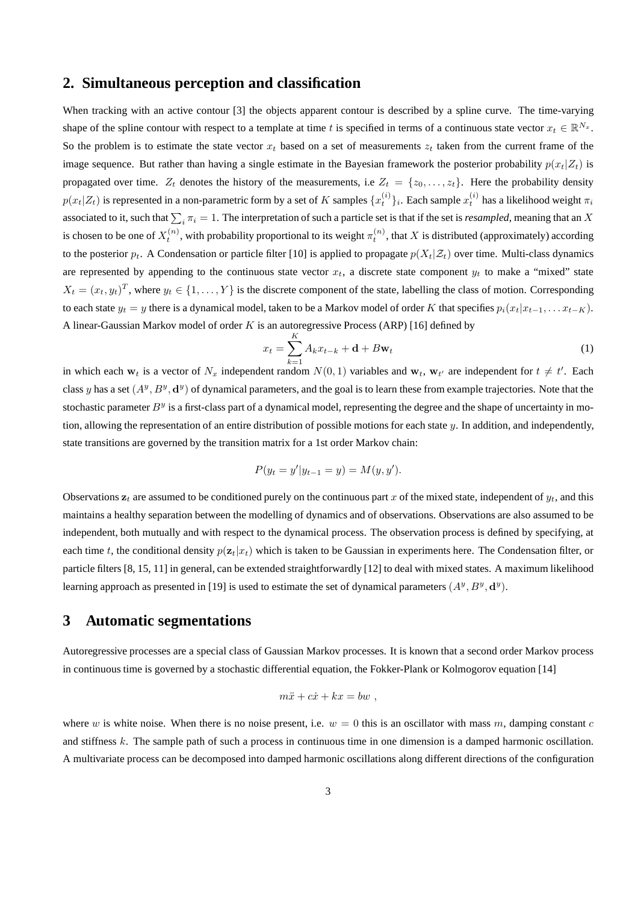# **2. Simultaneous perception and classification**

When tracking with an active contour [3] the objects apparent contour is described by a spline curve. The time-varying shape of the spline contour with respect to a template at time t is specified in terms of a continuous state vector  $x_t \in \mathbb{R}^{N_x}$ . So the problem is to estimate the state vector  $x_t$  based on a set of measurements  $z_t$  taken from the current frame of the image sequence. But rather than having a single estimate in the Bayesian framework the posterior probability  $p(x_t|Z_t)$  is propagated over time.  $Z_t$  denotes the history of the measurements, i.e  $Z_t = \{z_0, \ldots, z_t\}$ . Here the probability density  $p(x_t|Z_t)$  is represented in a non-parametric form by a set of K samples  $\{x_t^{(i)}\}_i$ . Each sample  $x_t^{(i)}$  has a likelihood weight  $\pi_i$ associated to it, such that  $\sum_i \pi_i = 1$ . The interpretation of such a particle set is that if the set is *resampled*, meaning that an X is chosen to be one of  $X_t^{(n)}$ , with probability proportional to its weight  $\pi_t^{(n)}$ , that X is distributed (approximately) according to the posterior  $p_t$ . A Condensation or particle filter [10] is applied to propagate  $p(X_t|\mathcal{Z}_t)$  over time. Multi-class dynamics are represented by appending to the continuous state vector  $x_t$ , a discrete state component  $y_t$  to make a "mixed" state  $X_t = (x_t, y_t)^T$ , where  $y_t \in \{1, ..., Y\}$  is the discrete component of the state, labelling the class of motion. Corresponding to each state  $y_t = y$  there is a dynamical model, taken to be a Markov model of order K that specifies  $p_i(x_t|x_{t-1}, \ldots x_{t-K})$ . A linear-Gaussian Markov model of order  $K$  is an autoregressive Process (ARP) [16] defined by

$$
x_t = \sum_{k=1}^{K} A_k x_{t-k} + \mathbf{d} + B \mathbf{w}_t
$$
 (1)

in which each  $w_t$  is a vector of  $N_x$  independent random  $N(0, 1)$  variables and  $w_t$ ,  $w_{t'}$  are independent for  $t \neq t'$ . Each class y has a set  $(A^y, B^y, \mathbf{d}^y)$  of dynamical parameters, and the goal is to learn these from example trajectories. Note that the stochastic parameter  $B<sup>y</sup>$  is a first-class part of a dynamical model, representing the degree and the shape of uncertainty in motion, allowing the representation of an entire distribution of possible motions for each state  $y$ . In addition, and independently, state transitions are governed by the transition matrix for a 1st order Markov chain:

$$
P(y_t = y'|y_{t-1} = y) = M(y, y').
$$

Observations  $z_t$  are assumed to be conditioned purely on the continuous part x of the mixed state, independent of  $y_t$ , and this maintains a healthy separation between the modelling of dynamics and of observations. Observations are also assumed to be independent, both mutually and with respect to the dynamical process. The observation process is defined by specifying, at each time t, the conditional density  $p(\mathbf{z}_t|x_t)$  which is taken to be Gaussian in experiments here. The Condensation filter, or particle filters [8, 15, 11] in general, can be extended straightforwardly [12] to deal with mixed states. A maximum likelihood learning approach as presented in [19] is used to estimate the set of dynamical parameters  $(A^y, B^y, d^y)$ .

# **3 Automatic segmentations**

Autoregressive processes are a special class of Gaussian Markov processes. It is known that a second order Markov process in continuous time is governed by a stochastic differential equation, the Fokker-Plank or Kolmogorov equation [14]

$$
m\ddot{x} + c\dot{x} + kx = bw ,
$$

where w is white noise. When there is no noise present, i.e.  $w = 0$  this is an oscillator with mass m, damping constant c and stiffness k. The sample path of such a process in continuous time in one dimension is a damped harmonic oscillation. A multivariate process can be decomposed into damped harmonic oscillations along different directions of the configuration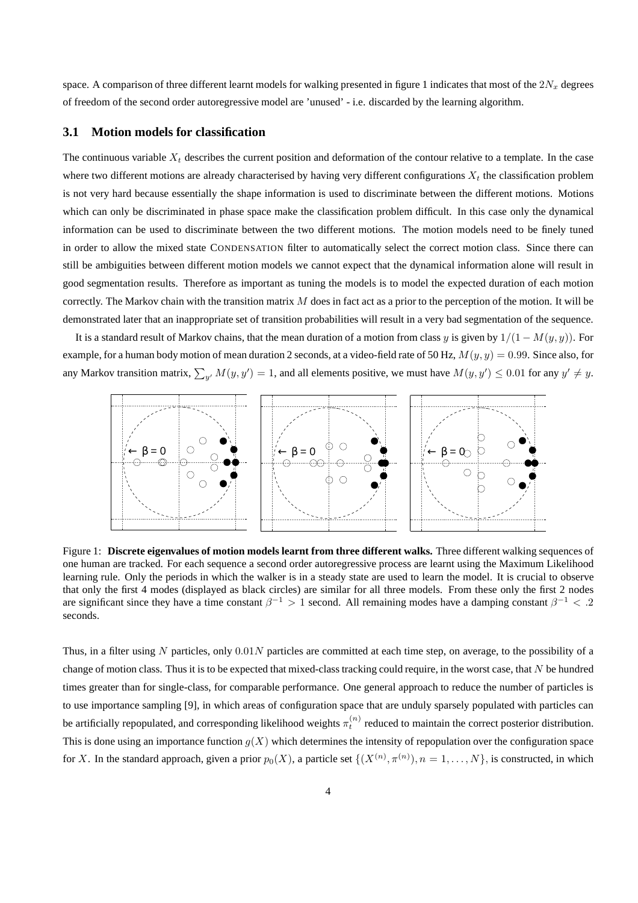space. A comparison of three different learnt models for walking presented in figure 1 indicates that most of the  $2N_x$  degrees of freedom of the second order autoregressive model are 'unused' - i.e. discarded by the learning algorithm.

#### **3.1 Motion models for classification**

The continuous variable  $X_t$  describes the current position and deformation of the contour relative to a template. In the case where two different motions are already characterised by having very different configurations  $X_t$  the classification problem is not very hard because essentially the shape information is used to discriminate between the different motions. Motions which can only be discriminated in phase space make the classification problem difficult. In this case only the dynamical information can be used to discriminate between the two different motions. The motion models need to be finely tuned in order to allow the mixed state CONDENSATION filter to automatically select the correct motion class. Since there can still be ambiguities between different motion models we cannot expect that the dynamical information alone will result in good segmentation results. Therefore as important as tuning the models is to model the expected duration of each motion correctly. The Markov chain with the transition matrix  $M$  does in fact act as a prior to the perception of the motion. It will be demonstrated later that an inappropriate set of transition probabilities will result in a very bad segmentation of the sequence.

It is a standard result of Markov chains, that the mean duration of a motion from class y is given by  $1/(1 - M(y, y))$ . For example, for a human body motion of mean duration 2 seconds, at a video-field rate of 50 Hz,  $M(y, y) = 0.99$ . Since also, for any Markov transition matrix,  $\sum_{y'} M(y, y') = 1$ , and all elements positive, we must have  $M(y, y') \le 0.01$  for any  $y' \ne y$ .



Figure 1: **Discrete eigenvalues of motion models learnt from three different walks.** Three different walking sequences of one human are tracked. For each sequence a second order autoregressive process are learnt using the Maximum Likelihood learning rule. Only the periods in which the walker is in a steady state are used to learn the model. It is crucial to observe that only the first 4 modes (displayed as black circles) are similar for all three models. From these only the first 2 nodes are significant since they have a time constant  $\beta^{-1} > 1$  second. All remaining modes have a damping constant  $\beta^{-1} < .2$ seconds.

Thus, in a filter using N particles, only  $0.01N$  particles are committed at each time step, on average, to the possibility of a change of motion class. Thus it is to be expected that mixed-class tracking could require, in the worst case, that N be hundred times greater than for single-class, for comparable performance. One general approach to reduce the number of particles is to use importance sampling [9], in which areas of configuration space that are unduly sparsely populated with particles can be artificially repopulated, and corresponding likelihood weights  $\pi_t^{(n)}$  reduced to maintain the correct posterior distribution. This is done using an importance function  $g(X)$  which determines the intensity of repopulation over the configuration space for X. In the standard approach, given a prior  $p_0(X)$ , a particle set  $\{(X^{(n)}, \pi^{(n)}), n = 1, ..., N\}$ , is constructed, in which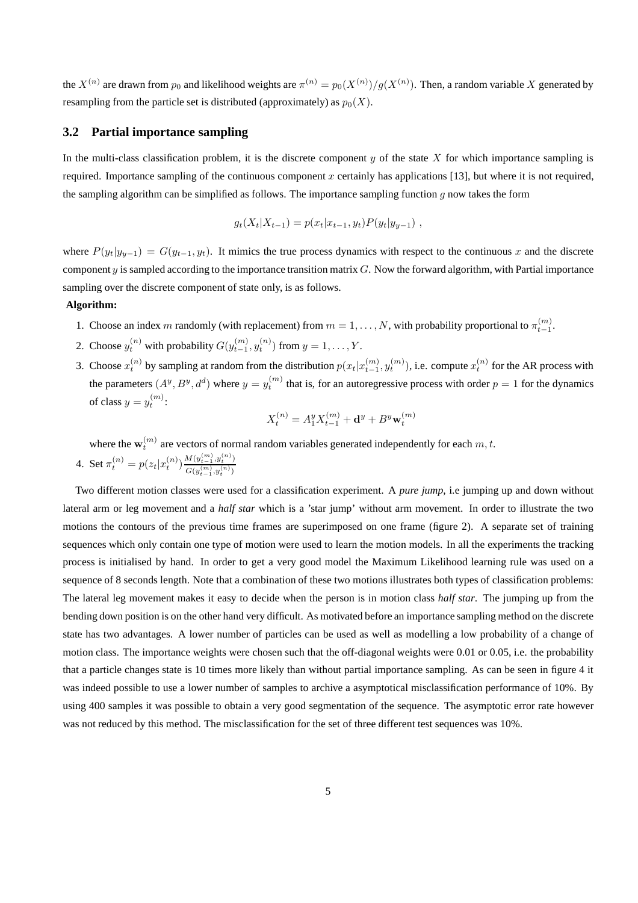the  $X^{(n)}$  are drawn from  $p_0$  and likelihood weights are  $\pi^{(n)} = p_0(X^{(n)})/g(X^{(n)})$ . Then, a random variable X generated by resampling from the particle set is distributed (approximately) as  $p_0(X)$ .

#### **3.2 Partial importance sampling**

In the multi-class classification problem, it is the discrete component  $y$  of the state  $X$  for which importance sampling is required. Importance sampling of the continuous component x certainly has applications  $[13]$ , but where it is not required, the sampling algorithm can be simplified as follows. The importance sampling function q now takes the form

$$
g_t(X_t|X_{t-1}) = p(x_t|x_{t-1}, y_t)P(y_t|y_{y-1}),
$$

where  $P(y_t|y_{y-1}) = G(y_{t-1}, y_t)$ . It mimics the true process dynamics with respect to the continuous x and the discrete component  $y$  is sampled according to the importance transition matrix  $G$ . Now the forward algorithm, with Partial importance sampling over the discrete component of state only, is as follows.

#### **Algorithm:**

- 1. Choose an index m randomly (with replacement) from  $m = 1, \ldots, N$ , with probability proportional to  $\pi_{t-1}^{(m)}$ .
- 2. Choose  $y_t^{(n)}$  with probability  $G(y_{t-1}^{(m)}, y_t^{(n)})$  from  $y = 1, ..., Y$ .
- 3. Choose  $x_t^{(n)}$  by sampling at random from the distribution  $p(x_t|x_{t-1}^{(m)}, y_t^{(m)})$ , i.e. compute  $x_t^{(n)}$  for the AR process with the parameters  $(A^y, B^y, d^d)$  where  $y = y_t^{(m)}$  that is, for an autoregressive process with order  $p = 1$  for the dynamics of class  $y = y_t^{(m)}$ :

$$
X_t^{(n)} = A_1^y X_{t-1}^{(m)} + \mathbf{d}^y + B^y \mathbf{w}_t^{(m)}
$$

where the  $\mathbf{w}_t^{(m)}$  are vectors of normal random variables generated independently for each  $m, t$ .

4. Set  $\pi_t^{(n)} = p(z_t|x_t^{(n)}) \frac{M(y_{t-1}^{(m)}, y_t^{(n)})}{G(t_m^{(m)}, n)}$  $G(y_{t-1}^{(m)}, y_t^{(n)})$ 

Two different motion classes were used for a classification experiment. A *pure jump*, i.e jumping up and down without lateral arm or leg movement and a *half star* which is a 'star jump' without arm movement. In order to illustrate the two motions the contours of the previous time frames are superimposed on one frame (figure 2). A separate set of training sequences which only contain one type of motion were used to learn the motion models. In all the experiments the tracking process is initialised by hand. In order to get a very good model the Maximum Likelihood learning rule was used on a sequence of 8 seconds length. Note that a combination of these two motions illustrates both types of classification problems: The lateral leg movement makes it easy to decide when the person is in motion class *half star*. The jumping up from the bending down position is on the other hand very difficult. As motivated before an importance sampling method on the discrete state has two advantages. A lower number of particles can be used as well as modelling a low probability of a change of motion class. The importance weights were chosen such that the off-diagonal weights were 0.01 or 0.05, i.e. the probability that a particle changes state is 10 times more likely than without partial importance sampling. As can be seen in figure 4 it was indeed possible to use a lower number of samples to archive a asymptotical misclassification performance of 10%. By using 400 samples it was possible to obtain a very good segmentation of the sequence. The asymptotic error rate however was not reduced by this method. The misclassification for the set of three different test sequences was 10%.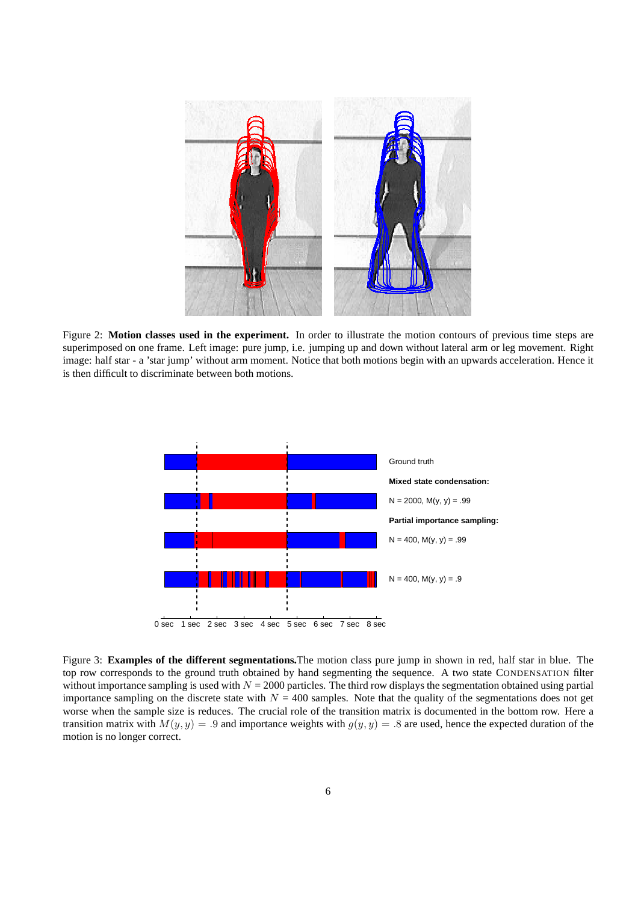

Figure 2: **Motion classes used in the experiment.** In order to illustrate the motion contours of previous time steps are superimposed on one frame. Left image: pure jump, i.e. jumping up and down without lateral arm or leg movement. Right image: half star - a 'star jump' without arm moment. Notice that both motions begin with an upwards acceleration. Hence it is then difficult to discriminate between both motions.



Figure 3: **Examples of the different segmentations.**The motion class pure jump in shown in red, half star in blue. The top row corresponds to the ground truth obtained by hand segmenting the sequence. A two state CONDENSATION filter without importance sampling is used with  $N = 2000$  particles. The third row displays the segmentation obtained using partial importance sampling on the discrete state with  $N = 400$  samples. Note that the quality of the segmentations does not get worse when the sample size is reduces. The crucial role of the transition matrix is documented in the bottom row. Here a transition matrix with  $M(y, y) = 0.9$  and importance weights with  $g(y, y) = 0.8$  are used, hence the expected duration of the motion is no longer correct.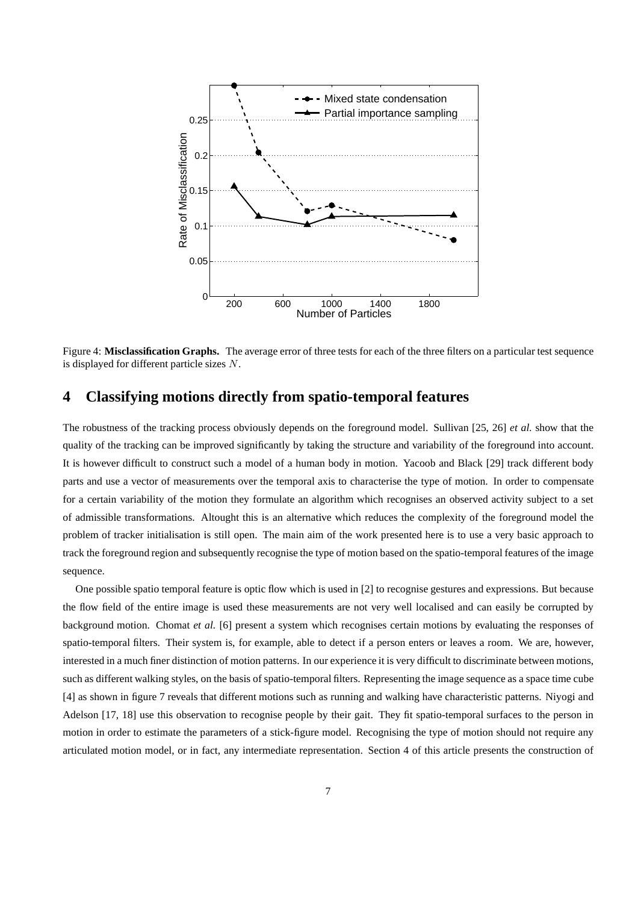

Figure 4: Misclassification Graphs. The average error of three tests for each of the three filters on a particular test sequence is displayed for different particle sizes N.

# **4 Classifying motions directly from spatio-temporal features**

The robustness of the tracking process obviously depends on the foreground model. Sullivan [25, 26] *et al.* show that the quality of the tracking can be improved significantly by taking the structure and variability of the foreground into account. It is however difficult to construct such a model of a human body in motion. Yacoob and Black [29] track different body parts and use a vector of measurements over the temporal axis to characterise the type of motion. In order to compensate for a certain variability of the motion they formulate an algorithm which recognises an observed activity subject to a set of admissible transformations. Altought this is an alternative which reduces the complexity of the foreground model the problem of tracker initialisation is still open. The main aim of the work presented here is to use a very basic approach to track the foreground region and subsequently recognise the type of motion based on the spatio-temporal features of the image sequence.

One possible spatio temporal feature is optic flow which is used in [2] to recognise gestures and expressions. But because the flow field of the entire image is used these measurements are not very well localised and can easily be corrupted by background motion. Chomat *et al.* [6] present a system which recognises certain motions by evaluating the responses of spatio-temporal filters. Their system is, for example, able to detect if a person enters or leaves a room. We are, however, interested in a much finer distinction of motion patterns. In our experience it is very difficult to discriminate between motions, such as different walking styles, on the basis of spatio-temporal filters. Representing the image sequence as a space time cube [4] as shown in figure 7 reveals that different motions such as running and walking have characteristic patterns. Niyogi and Adelson [17, 18] use this observation to recognise people by their gait. They fit spatio-temporal surfaces to the person in motion in order to estimate the parameters of a stick-figure model. Recognising the type of motion should not require any articulated motion model, or in fact, any intermediate representation. Section 4 of this article presents the construction of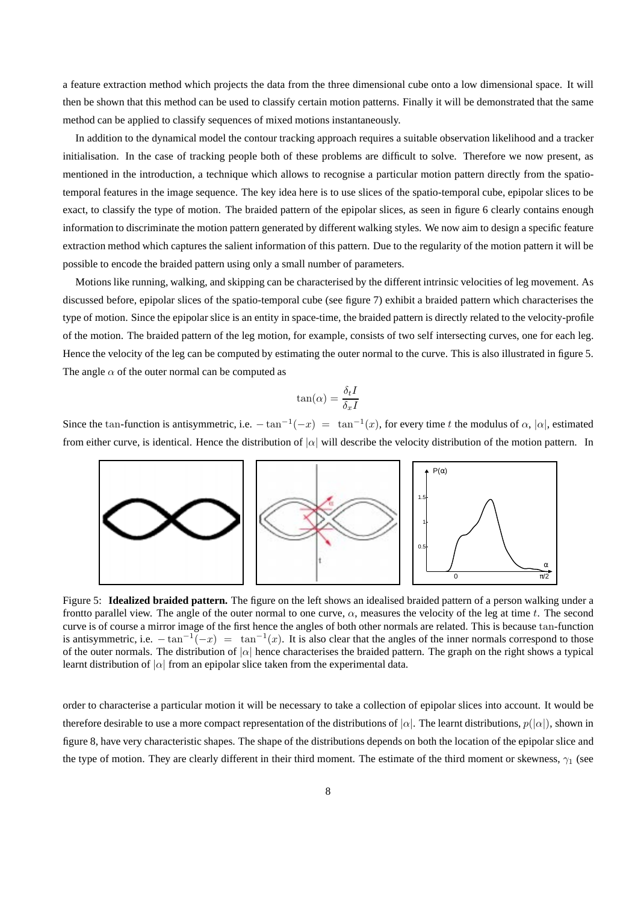a feature extraction method which projects the data from the three dimensional cube onto a low dimensional space. It will then be shown that this method can be used to classify certain motion patterns. Finally it will be demonstrated that the same method can be applied to classify sequences of mixed motions instantaneously.

In addition to the dynamical model the contour tracking approach requires a suitable observation likelihood and a tracker initialisation. In the case of tracking people both of these problems are difficult to solve. Therefore we now present, as mentioned in the introduction, a technique which allows to recognise a particular motion pattern directly from the spatiotemporal features in the image sequence. The key idea here is to use slices of the spatio-temporal cube, epipolar slices to be exact, to classify the type of motion. The braided pattern of the epipolar slices, as seen in figure 6 clearly contains enough information to discriminate the motion pattern generated by different walking styles. We now aim to design a specific feature extraction method which captures the salient information of this pattern. Due to the regularity of the motion pattern it will be possible to encode the braided pattern using only a small number of parameters.

Motions like running, walking, and skipping can be characterised by the different intrinsic velocities of leg movement. As discussed before, epipolar slices of the spatio-temporal cube (see figure 7) exhibit a braided pattern which characterises the type of motion. Since the epipolar slice is an entity in space-time, the braided pattern is directly related to the velocity-profile of the motion. The braided pattern of the leg motion, for example, consists of two self intersecting curves, one for each leg. Hence the velocity of the leg can be computed by estimating the outer normal to the curve. This is also illustrated in figure 5. The angle  $\alpha$  of the outer normal can be computed as

$$
\tan(\alpha) = \frac{\delta_t I}{\delta_x I}
$$

Since the tan-function is antisymmetric, i.e.  $-\tan^{-1}(-x) = \tan^{-1}(x)$ , for every time t the modulus of  $\alpha$ ,  $|\alpha|$ , estimated from either curve, is identical. Hence the distribution of  $|\alpha|$  will describe the velocity distribution of the motion pattern. In



Figure 5: **Idealized braided pattern.** The figure on the left shows an idealised braided pattern of a person walking under a frontto parallel view. The angle of the outer normal to one curve,  $\alpha$ , measures the velocity of the leg at time t. The second curve is of course a mirror image of the first hence the angles of both other normals are related. This is because tan-function is antisymmetric, i.e.  $-\tan^{-1}(-x) = \tan^{-1}(x)$ . It is also clear that the angles of the inner normals correspond to those of the outer normals. The distribution of  $|\alpha|$  hence characterises the braided pattern. The graph on the right shows a typical learnt distribution of  $|\alpha|$  from an epipolar slice taken from the experimental data.

order to characterise a particular motion it will be necessary to take a collection of epipolar slices into account. It would be therefore desirable to use a more compact representation of the distributions of  $|\alpha|$ . The learnt distributions,  $p(|\alpha|)$ , shown in figure 8, have very characteristic shapes. The shape of the distributions depends on both the location of the epipolar slice and the type of motion. They are clearly different in their third moment. The estimate of the third moment or skewness,  $\gamma_1$  (see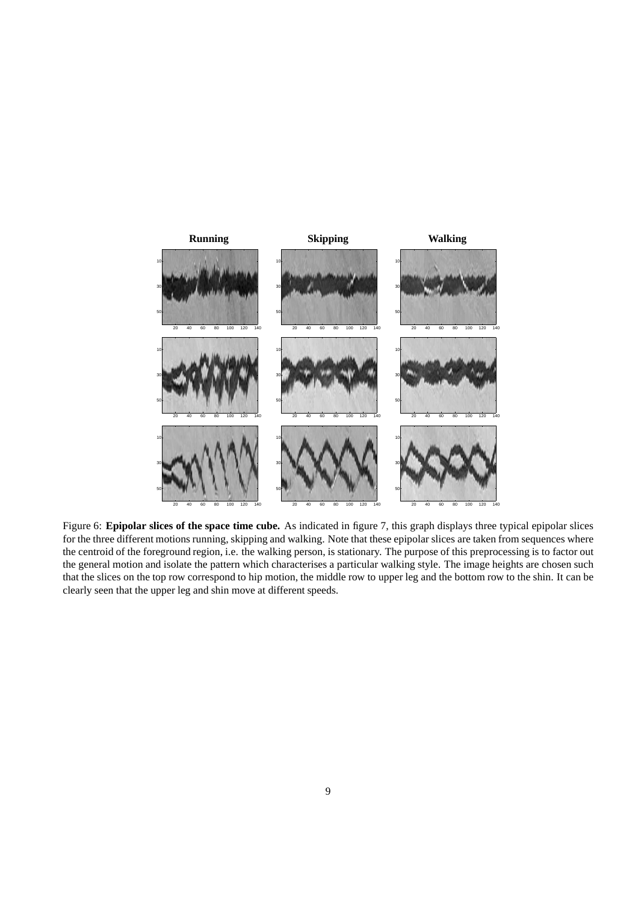

Figure 6: **Epipolar slices of the space time cube.** As indicated in figure 7, this graph displays three typical epipolar slices for the three different motions running, skipping and walking. Note that these epipolar slices are taken from sequences where the centroid of the foreground region, i.e. the walking person, is stationary. The purpose of this preprocessing is to factor out the general motion and isolate the pattern which characterises a particular walking style. The image heights are chosen such that the slices on the top row correspond to hip motion, the middle row to upper leg and the bottom row to the shin. It can be clearly seen that the upper leg and shin move at different speeds.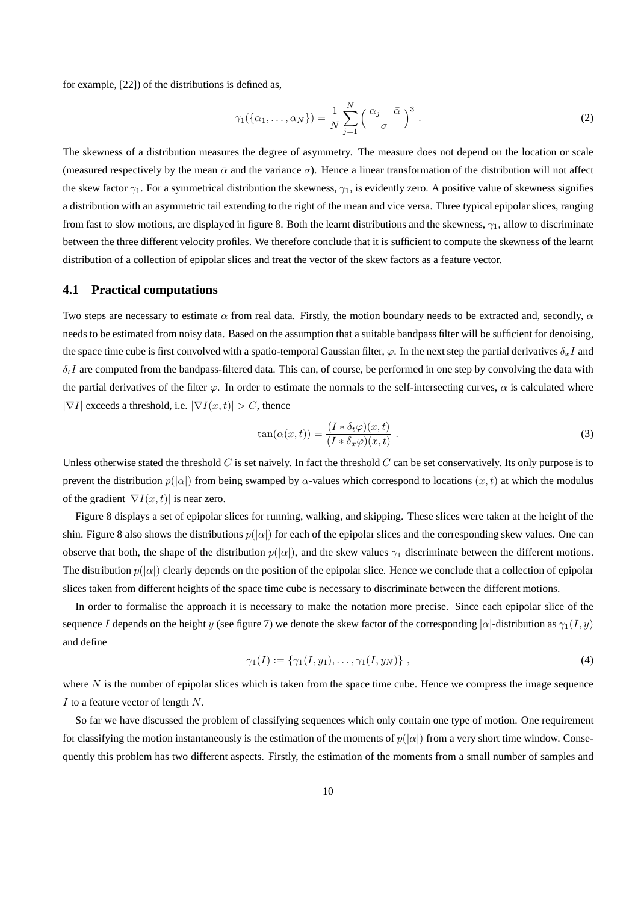for example, [22]) of the distributions is defined as,

$$
\gamma_1(\{\alpha_1,\ldots,\alpha_N\}) = \frac{1}{N} \sum_{j=1}^N \left(\frac{\alpha_j - \bar{\alpha}}{\sigma}\right)^3.
$$
 (2)

The skewness of a distribution measures the degree of asymmetry. The measure does not depend on the location or scale (measured respectively by the mean  $\bar{\alpha}$  and the variance  $\sigma$ ). Hence a linear transformation of the distribution will not affect the skew factor  $\gamma_1$ . For a symmetrical distribution the skewness,  $\gamma_1$ , is evidently zero. A positive value of skewness signifies a distribution with an asymmetric tail extending to the right of the mean and vice versa. Three typical epipolar slices, ranging from fast to slow motions, are displayed in figure 8. Both the learnt distributions and the skewness,  $\gamma_1$ , allow to discriminate between the three different velocity profiles. We therefore conclude that it is sufficient to compute the skewness of the learnt distribution of a collection of epipolar slices and treat the vector of the skew factors as a feature vector.

#### **4.1 Practical computations**

Two steps are necessary to estimate  $\alpha$  from real data. Firstly, the motion boundary needs to be extracted and, secondly,  $\alpha$ needs to be estimated from noisy data. Based on the assumption that a suitable bandpass filter will be sufficient for denoising, the space time cube is first convolved with a spatio-temporal Gaussian filter,  $\varphi$ . In the next step the partial derivatives  $\delta_x I$  and  $\delta_t I$  are computed from the bandpass-filtered data. This can, of course, be performed in one step by convolving the data with the partial derivatives of the filter  $\varphi$ . In order to estimate the normals to the self-intersecting curves,  $\alpha$  is calculated where  $|\nabla I|$  exceeds a threshold, i.e.  $|\nabla I(x,t)| > C$ , thence

$$
\tan(\alpha(x,t)) = \frac{(I * \delta_t \varphi)(x,t)}{(I * \delta_x \varphi)(x,t)}.
$$
\n(3)

Unless otherwise stated the threshold  $C$  is set naively. In fact the threshold  $C$  can be set conservatively. Its only purpose is to prevent the distribution  $p(|\alpha|)$  from being swamped by  $\alpha$ -values which correspond to locations  $(x, t)$  at which the modulus of the gradient  $|\nabla I(x, t)|$  is near zero.

Figure 8 displays a set of epipolar slices for running, walking, and skipping. These slices were taken at the height of the shin. Figure 8 also shows the distributions  $p(|\alpha|)$  for each of the epipolar slices and the corresponding skew values. One can observe that both, the shape of the distribution  $p(|\alpha|)$ , and the skew values  $\gamma_1$  discriminate between the different motions. The distribution  $p(|\alpha|)$  clearly depends on the position of the epipolar slice. Hence we conclude that a collection of epipolar slices taken from different heights of the space time cube is necessary to discriminate between the different motions.

In order to formalise the approach it is necessary to make the notation more precise. Since each epipolar slice of the sequence I depends on the height y (see figure 7) we denote the skew factor of the corresponding  $|\alpha|$ -distribution as  $\gamma_1(I,y)$ and define

$$
\gamma_1(I) := \{ \gamma_1(I, y_1), \dots, \gamma_1(I, y_N) \}, \qquad (4)
$$

where  $N$  is the number of epipolar slices which is taken from the space time cube. Hence we compress the image sequence I to a feature vector of length  $N$ .

So far we have discussed the problem of classifying sequences which only contain one type of motion. One requirement for classifying the motion instantaneously is the estimation of the moments of  $p(|\alpha|)$  from a very short time window. Consequently this problem has two different aspects. Firstly, the estimation of the moments from a small number of samples and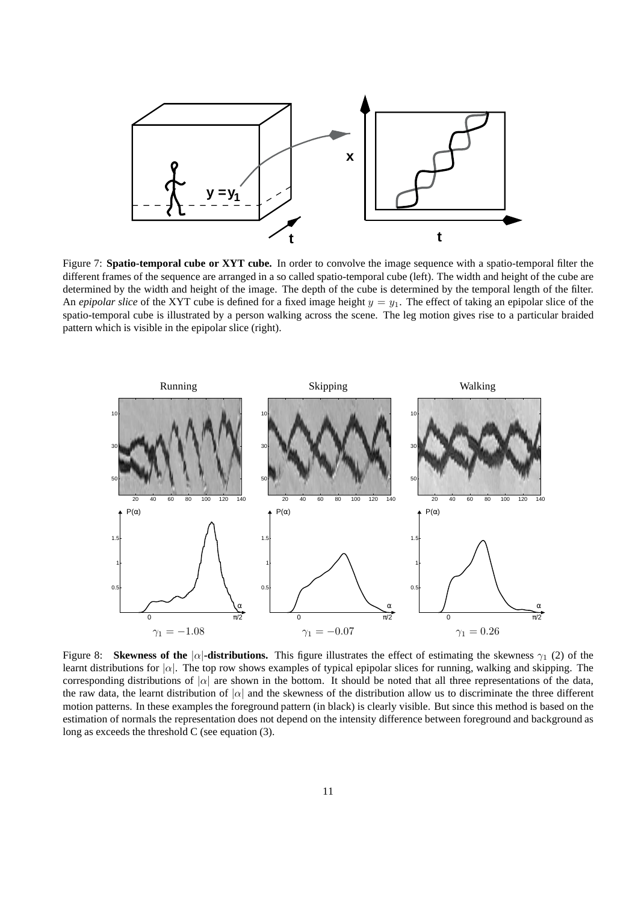

Figure 7: **Spatio-temporal cube or XYT cube.** In order to convolve the image sequence with a spatio-temporal filter the different frames of the sequence are arranged in a so called spatio-temporal cube (left). The width and height of the cube are determined by the width and height of the image. The depth of the cube is determined by the temporal length of the filter. An *epipolar slice* of the XYT cube is defined for a fixed image height  $y = y_1$ . The effect of taking an epipolar slice of the spatio-temporal cube is illustrated by a person walking across the scene. The leg motion gives rise to a particular braided pattern which is visible in the epipolar slice (right).



Figure 8: **Skewness of the**  $|\alpha|$ **-distributions.** This figure illustrates the effect of estimating the skewness  $\gamma_1$  (2) of the learnt distributions for  $|\alpha|$ . The top row shows examples of typical epipolar slices for running, walking and skipping. The corresponding distributions of  $|\alpha|$  are shown in the bottom. It should be noted that all three representations of the data, the raw data, the learnt distribution of  $|\alpha|$  and the skewness of the distribution allow us to discriminate the three different motion patterns. In these examples the foreground pattern (in black) is clearly visible. But since this method is based on the estimation of normals the representation does not depend on the intensity difference between foreground and background as long as exceeds the threshold C (see equation (3).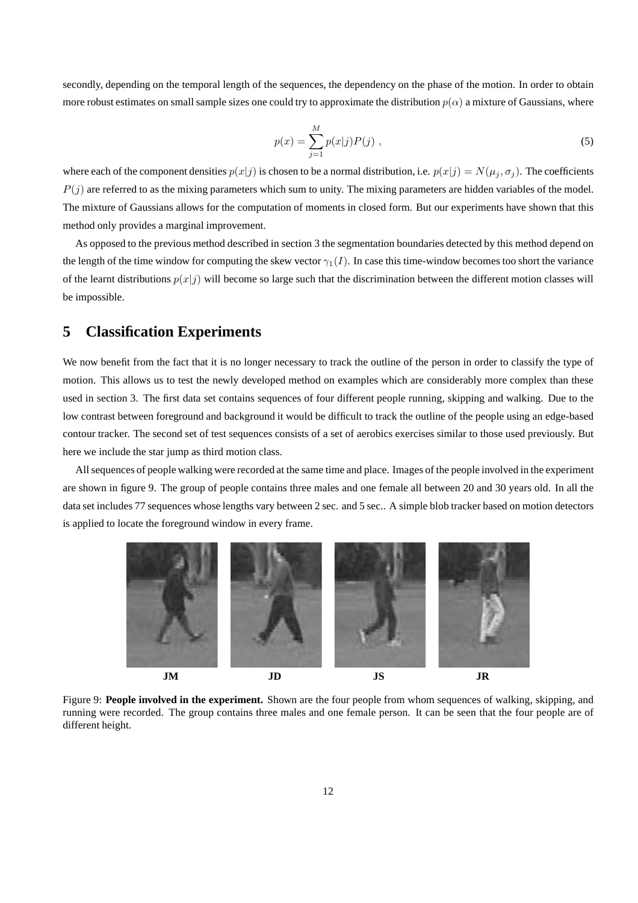secondly, depending on the temporal length of the sequences, the dependency on the phase of the motion. In order to obtain more robust estimates on small sample sizes one could try to approximate the distribution  $p(\alpha)$  a mixture of Gaussians, where

$$
p(x) = \sum_{j=1}^{M} p(x|j)P(j) ,
$$
 (5)

where each of the component densities  $p(x|j)$  is chosen to be a normal distribution, i.e.  $p(x|j) = N(\mu_j, \sigma_j)$ . The coefficients  $P(j)$  are referred to as the mixing parameters which sum to unity. The mixing parameters are hidden variables of the model. The mixture of Gaussians allows for the computation of moments in closed form. But our experiments have shown that this method only provides a marginal improvement.

As opposed to the previous method described in section 3 the segmentation boundaries detected by this method depend on the length of the time window for computing the skew vector  $\gamma_1(I)$ . In case this time-window becomes too short the variance of the learnt distributions  $p(x|j)$  will become so large such that the discrimination between the different motion classes will be impossible.

### **5 Classification Experiments**

We now benefit from the fact that it is no longer necessary to track the outline of the person in order to classify the type of motion. This allows us to test the newly developed method on examples which are considerably more complex than these used in section 3. The first data set contains sequences of four different people running, skipping and walking. Due to the low contrast between foreground and background it would be difficult to track the outline of the people using an edge-based contour tracker. The second set of test sequences consists of a set of aerobics exercises similar to those used previously. But here we include the star jump as third motion class.

All sequences of people walking were recorded at the same time and place. Images of the people involved in the experiment are shown in figure 9. The group of people contains three males and one female all between 20 and 30 years old. In all the data set includes 77 sequences whose lengths vary between 2 sec. and 5 sec.. A simple blob tracker based on motion detectors is applied to locate the foreground window in every frame.



Figure 9: **People involved in the experiment.** Shown are the four people from whom sequences of walking, skipping, and running were recorded. The group contains three males and one female person. It can be seen that the four people are of different height.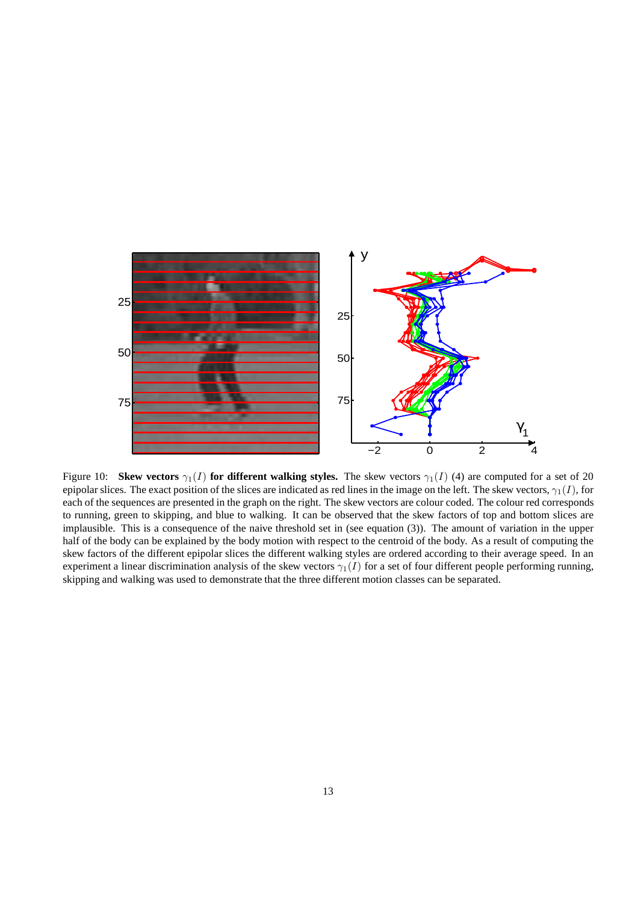

Figure 10: **Skew vectors**  $\gamma_1(I)$  for different walking styles. The skew vectors  $\gamma_1(I)$  (4) are computed for a set of 20 epipolar slices. The exact position of the slices are indicated as red lines in the image on the left. The skew vectors,  $\gamma_1(I)$ , for each of the sequences are presented in the graph on the right. The skew vectors are colour coded. The colour red corresponds to running, green to skipping, and blue to walking. It can be observed that the skew factors of top and bottom slices are implausible. This is a consequence of the naive threshold set in (see equation (3)). The amount of variation in the upper half of the body can be explained by the body motion with respect to the centroid of the body. As a result of computing the skew factors of the different epipolar slices the different walking styles are ordered according to their average speed. In an experiment a linear discrimination analysis of the skew vectors  $\gamma_1(I)$  for a set of four different people performing running, skipping and walking was used to demonstrate that the three different motion classes can be separated.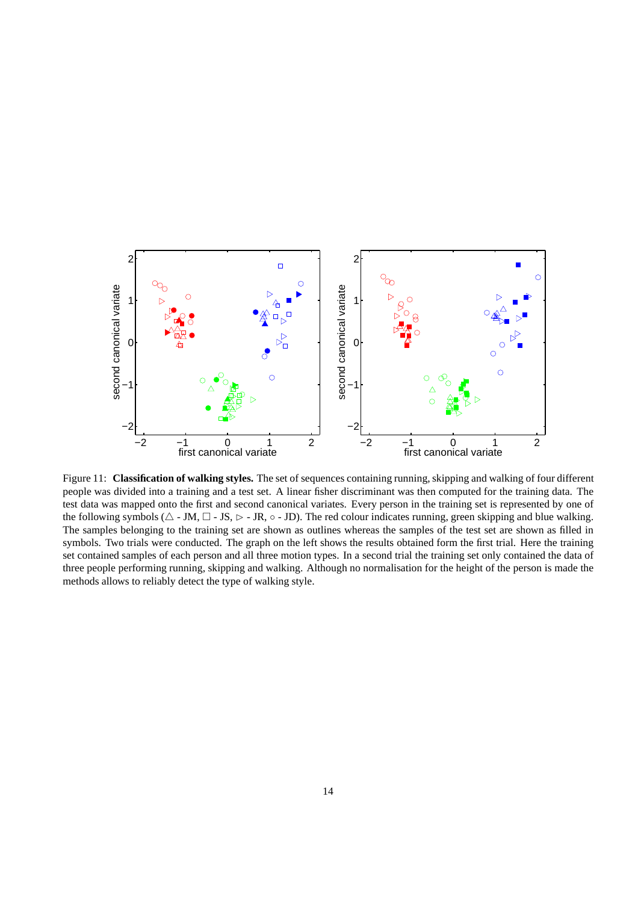

Figure 11: **Classification of walking styles.** The set of sequences containing running, skipping and walking of four different people was divided into a training and a test set. A linear fisher discriminant was then computed for the training data. The test data was mapped onto the first and second canonical variates. Every person in the training set is represented by one of the following symbols ( $\triangle$  - JM,  $\square$  - JS,  $\succ$  - JR,  $\circ$  - JD). The red colour indicates running, green skipping and blue walking. The samples belonging to the training set are shown as outlines whereas the samples of the test set are shown as filled in symbols. Two trials were conducted. The graph on the left shows the results obtained form the first trial. Here the training set contained samples of each person and all three motion types. In a second trial the training set only contained the data of three people performing running, skipping and walking. Although no normalisation for the height of the person is made the methods allows to reliably detect the type of walking style.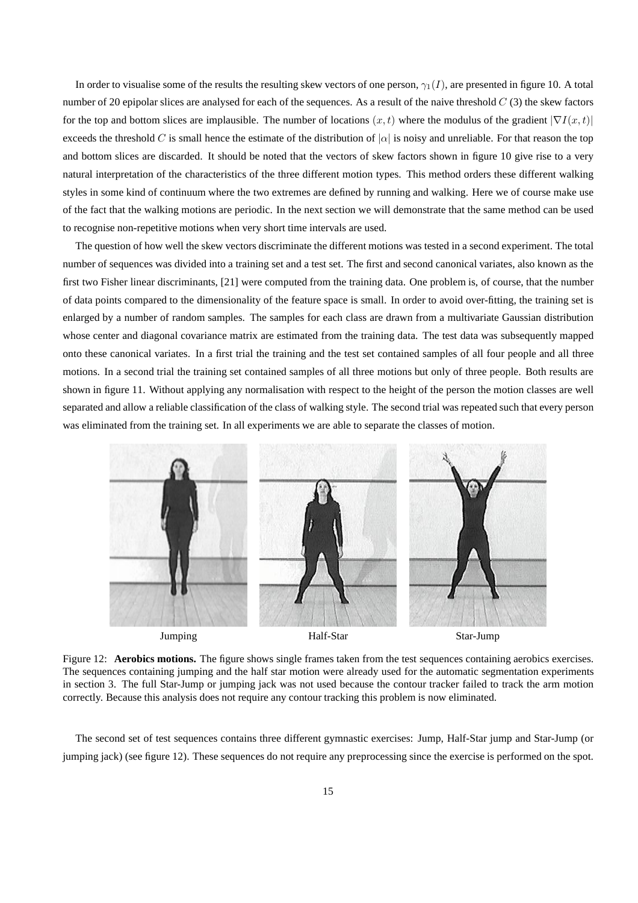In order to visualise some of the results the resulting skew vectors of one person,  $\gamma_1(I)$ , are presented in figure 10. A total number of 20 epipolar slices are analysed for each of the sequences. As a result of the naive threshold  $C(3)$  the skew factors for the top and bottom slices are implausible. The number of locations  $(x, t)$  where the modulus of the gradient  $|\nabla I(x, t)|$ exceeds the threshold C is small hence the estimate of the distribution of  $|\alpha|$  is noisy and unreliable. For that reason the top and bottom slices are discarded. It should be noted that the vectors of skew factors shown in figure 10 give rise to a very natural interpretation of the characteristics of the three different motion types. This method orders these different walking styles in some kind of continuum where the two extremes are defined by running and walking. Here we of course make use of the fact that the walking motions are periodic. In the next section we will demonstrate that the same method can be used to recognise non-repetitive motions when very short time intervals are used.

The question of how well the skew vectors discriminate the different motions was tested in a second experiment. The total number of sequences was divided into a training set and a test set. The first and second canonical variates, also known as the first two Fisher linear discriminants, [21] were computed from the training data. One problem is, of course, that the number of data points compared to the dimensionality of the feature space is small. In order to avoid over-fitting, the training set is enlarged by a number of random samples. The samples for each class are drawn from a multivariate Gaussian distribution whose center and diagonal covariance matrix are estimated from the training data. The test data was subsequently mapped onto these canonical variates. In a first trial the training and the test set contained samples of all four people and all three motions. In a second trial the training set contained samples of all three motions but only of three people. Both results are shown in figure 11. Without applying any normalisation with respect to the height of the person the motion classes are well separated and allow a reliable classification of the class of walking style. The second trial was repeated such that every person was eliminated from the training set. In all experiments we are able to separate the classes of motion.



Jumping Half-Star Star-Jump

Figure 12: **Aerobics motions.** The figure shows single frames taken from the test sequences containing aerobics exercises. The sequences containing jumping and the half star motion were already used for the automatic segmentation experiments in section 3. The full Star-Jump or jumping jack was not used because the contour tracker failed to track the arm motion correctly. Because this analysis does not require any contour tracking this problem is now eliminated.

The second set of test sequences contains three different gymnastic exercises: Jump, Half-Star jump and Star-Jump (or jumping jack) (see figure 12). These sequences do not require any preprocessing since the exercise is performed on the spot.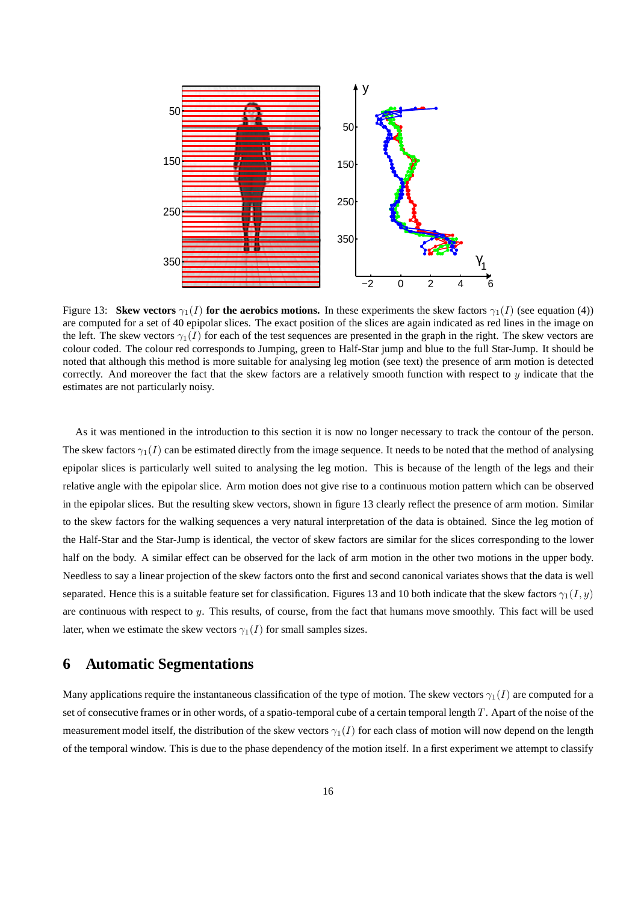

Figure 13: **Skew vectors**  $\gamma_1(I)$  for the aerobics motions. In these experiments the skew factors  $\gamma_1(I)$  (see equation (4)) are computed for a set of 40 epipolar slices. The exact position of the slices are again indicated as red lines in the image on the left. The skew vectors  $\gamma_1(I)$  for each of the test sequences are presented in the graph in the right. The skew vectors are colour coded. The colour red corresponds to Jumping, green to Half-Star jump and blue to the full Star-Jump. It should be noted that although this method is more suitable for analysing leg motion (see text) the presence of arm motion is detected correctly. And moreover the fact that the skew factors are a relatively smooth function with respect to  $y$  indicate that the estimates are not particularly noisy.

As it was mentioned in the introduction to this section it is now no longer necessary to track the contour of the person. The skew factors  $\gamma_1(I)$  can be estimated directly from the image sequence. It needs to be noted that the method of analysing epipolar slices is particularly well suited to analysing the leg motion. This is because of the length of the legs and their relative angle with the epipolar slice. Arm motion does not give rise to a continuous motion pattern which can be observed in the epipolar slices. But the resulting skew vectors, shown in figure 13 clearly reflect the presence of arm motion. Similar to the skew factors for the walking sequences a very natural interpretation of the data is obtained. Since the leg motion of the Half-Star and the Star-Jump is identical, the vector of skew factors are similar for the slices corresponding to the lower half on the body. A similar effect can be observed for the lack of arm motion in the other two motions in the upper body. Needless to say a linear projection of the skew factors onto the first and second canonical variates shows that the data is well separated. Hence this is a suitable feature set for classification. Figures 13 and 10 both indicate that the skew factors  $\gamma_1(I, y)$ are continuous with respect to  $y$ . This results, of course, from the fact that humans move smoothly. This fact will be used later, when we estimate the skew vectors  $\gamma_1(I)$  for small samples sizes.

#### **6 Automatic Segmentations**

Many applications require the instantaneous classification of the type of motion. The skew vectors  $\gamma_1(I)$  are computed for a set of consecutive frames or in other words, of a spatio-temporal cube of a certain temporal length T . Apart of the noise of the measurement model itself, the distribution of the skew vectors  $\gamma_1(I)$  for each class of motion will now depend on the length of the temporal window. This is due to the phase dependency of the motion itself. In a first experiment we attempt to classify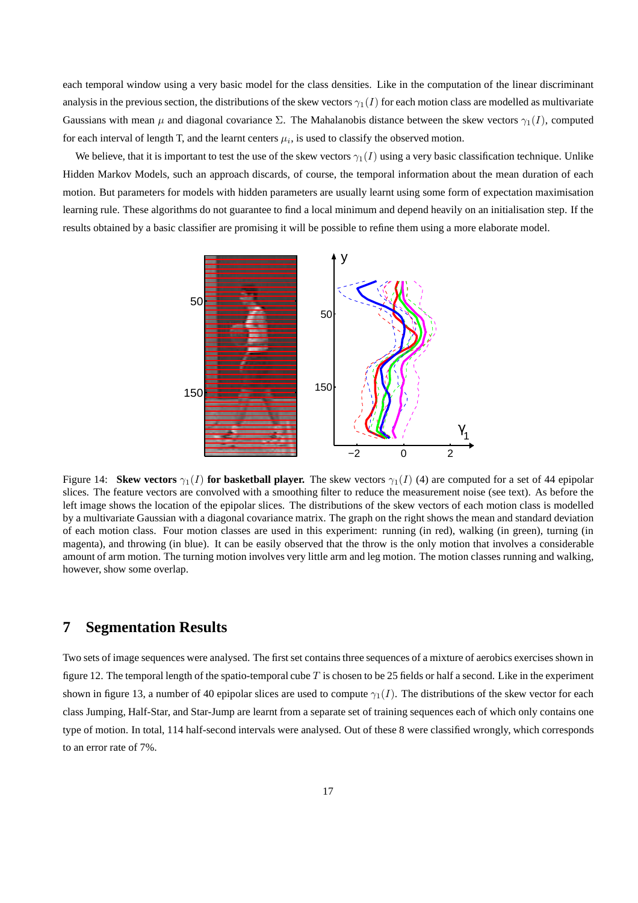each temporal window using a very basic model for the class densities. Like in the computation of the linear discriminant analysis in the previous section, the distributions of the skew vectors  $\gamma_1(I)$  for each motion class are modelled as multivariate Gaussians with mean  $\mu$  and diagonal covariance  $\Sigma$ . The Mahalanobis distance between the skew vectors  $\gamma_1(I)$ , computed for each interval of length T, and the learnt centers  $\mu_i$ , is used to classify the observed motion.

We believe, that it is important to test the use of the skew vectors  $\gamma_1(I)$  using a very basic classification technique. Unlike Hidden Markov Models, such an approach discards, of course, the temporal information about the mean duration of each motion. But parameters for models with hidden parameters are usually learnt using some form of expectation maximisation learning rule. These algorithms do not guarantee to find a local minimum and depend heavily on an initialisation step. If the results obtained by a basic classifier are promising it will be possible to refine them using a more elaborate model.



Figure 14: **Skew vectors**  $\gamma_1(I)$  for basketball player. The skew vectors  $\gamma_1(I)$  (4) are computed for a set of 44 epipolar slices. The feature vectors are convolved with a smoothing filter to reduce the measurement noise (see text). As before the left image shows the location of the epipolar slices. The distributions of the skew vectors of each motion class is modelled by a multivariate Gaussian with a diagonal covariance matrix. The graph on the right shows the mean and standard deviation of each motion class. Four motion classes are used in this experiment: running (in red), walking (in green), turning (in magenta), and throwing (in blue). It can be easily observed that the throw is the only motion that involves a considerable amount of arm motion. The turning motion involves very little arm and leg motion. The motion classes running and walking, however, show some overlap.

## **7 Segmentation Results**

Two sets of image sequences were analysed. The first set contains three sequences of a mixture of aerobics exercises shown in figure 12. The temporal length of the spatio-temporal cube T is chosen to be 25 fields or half a second. Like in the experiment shown in figure 13, a number of 40 epipolar slices are used to compute  $\gamma_1(I)$ . The distributions of the skew vector for each class Jumping, Half-Star, and Star-Jump are learnt from a separate set of training sequences each of which only contains one type of motion. In total, 114 half-second intervals were analysed. Out of these 8 were classified wrongly, which corresponds to an error rate of 7%.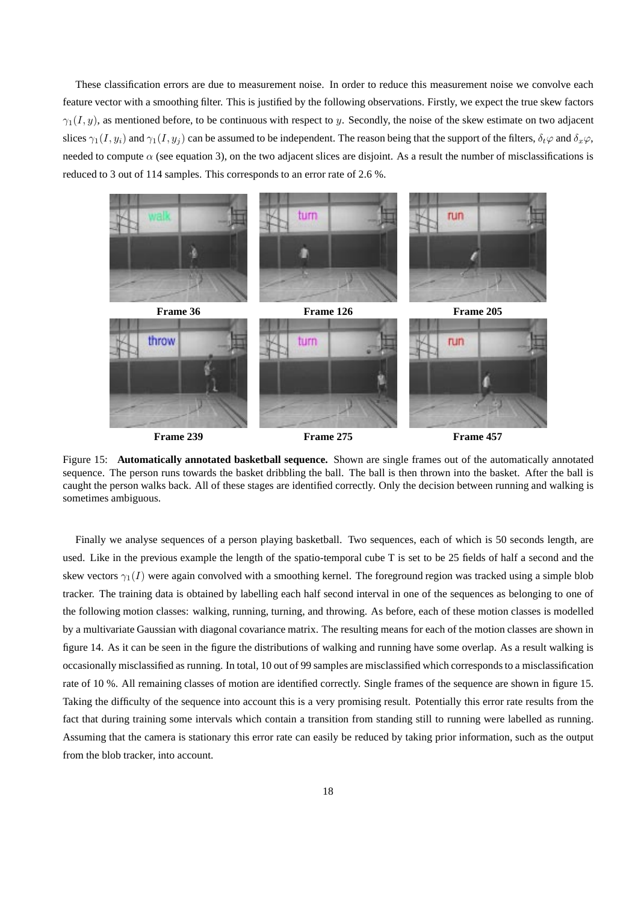These classification errors are due to measurement noise. In order to reduce this measurement noise we convolve each feature vector with a smoothing filter. This is justified by the following observations. Firstly, we expect the true skew factors  $\gamma_1(I, y)$ , as mentioned before, to be continuous with respect to y. Secondly, the noise of the skew estimate on two adjacent slices  $\gamma_1(I, y_i)$  and  $\gamma_1(I, y_j)$  can be assumed to be independent. The reason being that the support of the filters,  $\delta_t\varphi$  and  $\delta_x\varphi$ , needed to compute  $\alpha$  (see equation 3), on the two adjacent slices are disjoint. As a result the number of misclassifications is reduced to 3 out of 114 samples. This corresponds to an error rate of 2.6 %.



Figure 15: **Automatically annotated basketball sequence.** Shown are single frames out of the automatically annotated sequence. The person runs towards the basket dribbling the ball. The ball is then thrown into the basket. After the ball is caught the person walks back. All of these stages are identified correctly. Only the decision between running and walking is sometimes ambiguous.

Finally we analyse sequences of a person playing basketball. Two sequences, each of which is 50 seconds length, are used. Like in the previous example the length of the spatio-temporal cube T is set to be 25 fields of half a second and the skew vectors  $\gamma_1(I)$  were again convolved with a smoothing kernel. The foreground region was tracked using a simple blob tracker. The training data is obtained by labelling each half second interval in one of the sequences as belonging to one of the following motion classes: walking, running, turning, and throwing. As before, each of these motion classes is modelled by a multivariate Gaussian with diagonal covariance matrix. The resulting means for each of the motion classes are shown in figure 14. As it can be seen in the figure the distributions of walking and running have some overlap. As a result walking is occasionally misclassified as running. In total, 10 out of 99 samples are misclassified which corresponds to a misclassification rate of 10 %. All remaining classes of motion are identified correctly. Single frames of the sequence are shown in figure 15. Taking the difficulty of the sequence into account this is a very promising result. Potentially this error rate results from the fact that during training some intervals which contain a transition from standing still to running were labelled as running. Assuming that the camera is stationary this error rate can easily be reduced by taking prior information, such as the output from the blob tracker, into account.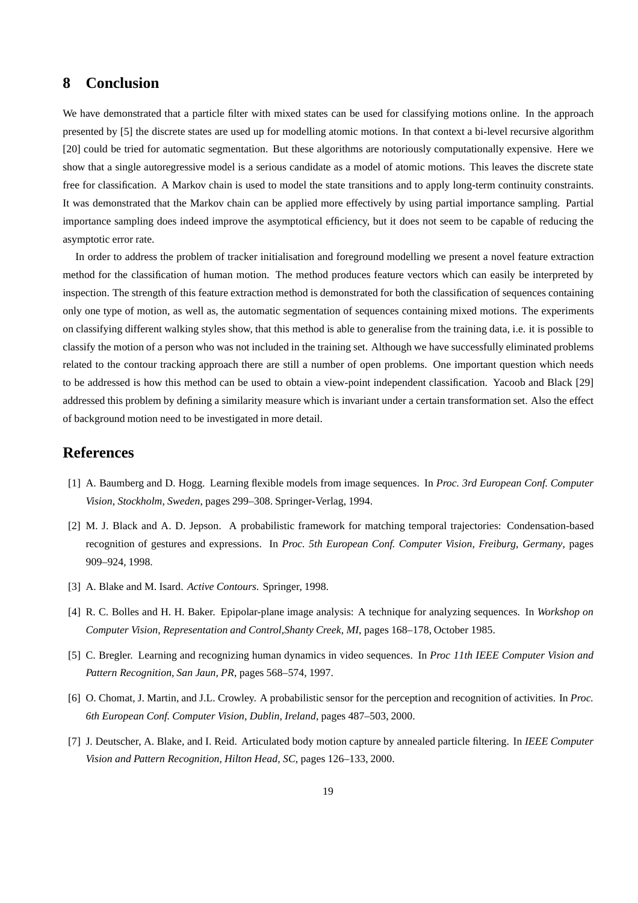# **8 Conclusion**

We have demonstrated that a particle filter with mixed states can be used for classifying motions online. In the approach presented by [5] the discrete states are used up for modelling atomic motions. In that context a bi-level recursive algorithm [20] could be tried for automatic segmentation. But these algorithms are notoriously computationally expensive. Here we show that a single autoregressive model is a serious candidate as a model of atomic motions. This leaves the discrete state free for classification. A Markov chain is used to model the state transitions and to apply long-term continuity constraints. It was demonstrated that the Markov chain can be applied more effectively by using partial importance sampling. Partial importance sampling does indeed improve the asymptotical efficiency, but it does not seem to be capable of reducing the asymptotic error rate.

In order to address the problem of tracker initialisation and foreground modelling we present a novel feature extraction method for the classification of human motion. The method produces feature vectors which can easily be interpreted by inspection. The strength of this feature extraction method is demonstrated for both the classification of sequences containing only one type of motion, as well as, the automatic segmentation of sequences containing mixed motions. The experiments on classifying different walking styles show, that this method is able to generalise from the training data, i.e. it is possible to classify the motion of a person who was not included in the training set. Although we have successfully eliminated problems related to the contour tracking approach there are still a number of open problems. One important question which needs to be addressed is how this method can be used to obtain a view-point independent classification. Yacoob and Black [29] addressed this problem by defining a similarity measure which is invariant under a certain transformation set. Also the effect of background motion need to be investigated in more detail.

## **References**

- [1] A. Baumberg and D. Hogg. Learning flexible models from image sequences. In *Proc. 3rd European Conf. Computer Vision, Stockholm, Sweden*, pages 299–308. Springer-Verlag, 1994.
- [2] M. J. Black and A. D. Jepson. A probabilistic framework for matching temporal trajectories: Condensation-based recognition of gestures and expressions. In *Proc. 5th European Conf. Computer Vision, Freiburg, Germany*, pages 909–924, 1998.
- [3] A. Blake and M. Isard. *Active Contours*. Springer, 1998.
- [4] R. C. Bolles and H. H. Baker. Epipolar-plane image analysis: A technique for analyzing sequences. In *Workshop on Computer Vision, Representation and Control,Shanty Creek, MI*, pages 168–178, October 1985.
- [5] C. Bregler. Learning and recognizing human dynamics in video sequences. In *Proc 11th IEEE Computer Vision and Pattern Recognition, San Jaun, PR*, pages 568–574, 1997.
- [6] O. Chomat, J. Martin, and J.L. Crowley. A probabilistic sensor for the perception and recognition of activities. In *Proc. 6th European Conf. Computer Vision, Dublin, Ireland*, pages 487–503, 2000.
- [7] J. Deutscher, A. Blake, and I. Reid. Articulated body motion capture by annealed particle filtering. In *IEEE Computer Vision and Pattern Recognition, Hilton Head, SC*, pages 126–133, 2000.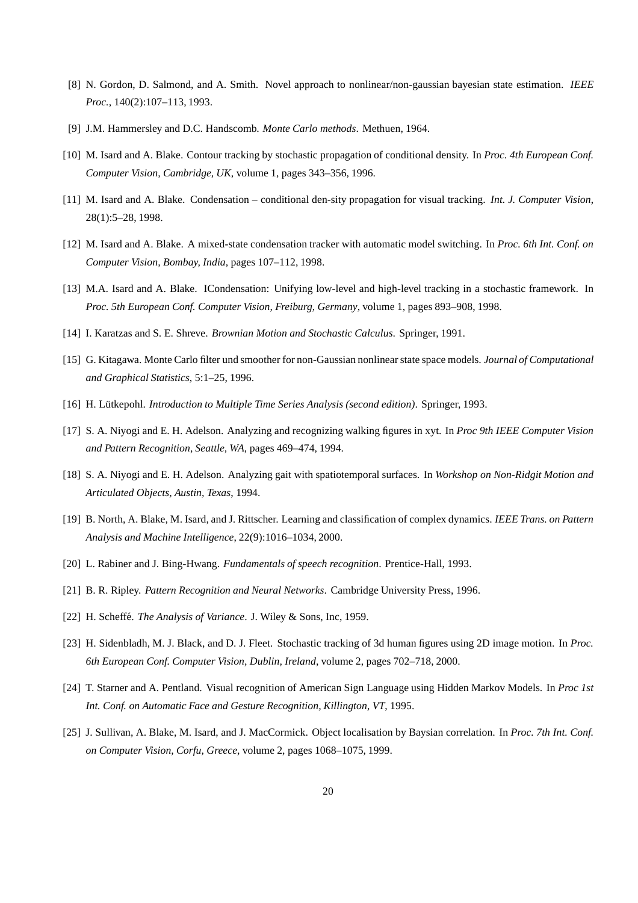- [8] N. Gordon, D. Salmond, and A. Smith. Novel approach to nonlinear/non-gaussian bayesian state estimation. *IEEE Proc.*, 140(2):107–113, 1993.
- [9] J.M. Hammersley and D.C. Handscomb. *Monte Carlo methods*. Methuen, 1964.
- [10] M. Isard and A. Blake. Contour tracking by stochastic propagation of conditional density. In *Proc. 4th European Conf. Computer Vision, Cambridge, UK*, volume 1, pages 343–356, 1996.
- [11] M. Isard and A. Blake. Condensation conditional den-sity propagation for visual tracking. *Int. J. Computer Vision*, 28(1):5–28, 1998.
- [12] M. Isard and A. Blake. A mixed-state condensation tracker with automatic model switching. In *Proc. 6th Int. Conf. on Computer Vision, Bombay, India*, pages 107–112, 1998.
- [13] M.A. Isard and A. Blake. ICondensation: Unifying low-level and high-level tracking in a stochastic framework. In *Proc. 5th European Conf. Computer Vision, Freiburg, Germany*, volume 1, pages 893–908, 1998.
- [14] I. Karatzas and S. E. Shreve. *Brownian Motion and Stochastic Calculus*. Springer, 1991.
- [15] G. Kitagawa. Monte Carlo filter und smoother for non-Gaussian nonlinear state space models. *Journal of Computational and Graphical Statistics*, 5:1–25, 1996.
- [16] H. Lütkepohl. *Introduction to Multiple Time Series Analysis (second edition)*. Springer, 1993.
- [17] S. A. Niyogi and E. H. Adelson. Analyzing and recognizing walking figures in xyt. In *Proc 9th IEEE Computer Vision and Pattern Recognition, Seattle, WA*, pages 469–474, 1994.
- [18] S. A. Niyogi and E. H. Adelson. Analyzing gait with spatiotemporal surfaces. In *Workshop on Non-Ridgit Motion and Articulated Objects, Austin, Texas*, 1994.
- [19] B. North, A. Blake, M. Isard, and J. Rittscher. Learning and classification of complex dynamics. *IEEE Trans. on Pattern Analysis and Machine Intelligence*, 22(9):1016–1034, 2000.
- [20] L. Rabiner and J. Bing-Hwang. *Fundamentals of speech recognition*. Prentice-Hall, 1993.
- [21] B. R. Ripley. *Pattern Recognition and Neural Networks*. Cambridge University Press, 1996.
- [22] H. Scheffé. *The Analysis of Variance*. J. Wiley & Sons, Inc, 1959.
- [23] H. Sidenbladh, M. J. Black, and D. J. Fleet. Stochastic tracking of 3d human figures using 2D image motion. In *Proc. 6th European Conf. Computer Vision, Dublin, Ireland*, volume 2, pages 702–718, 2000.
- [24] T. Starner and A. Pentland. Visual recognition of American Sign Language using Hidden Markov Models. In *Proc 1st Int. Conf. on Automatic Face and Gesture Recognition, Killington, VT*, 1995.
- [25] J. Sullivan, A. Blake, M. Isard, and J. MacCormick. Object localisation by Baysian correlation. In *Proc. 7th Int. Conf. on Computer Vision, Corfu, Greece*, volume 2, pages 1068–1075, 1999.